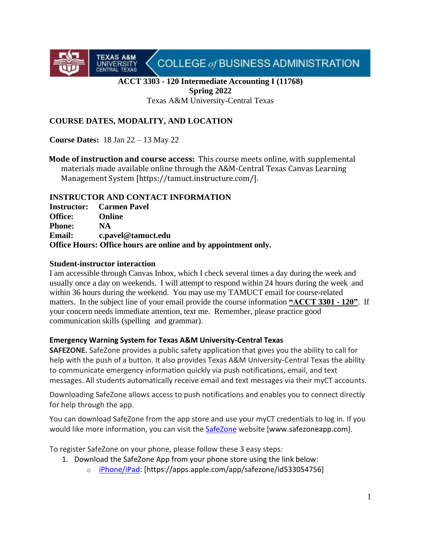COLLEGE of BUSINESS ADMINISTRATION

# **ACCT 3303 - 120 Intermediate Accounting I (11768) Spring 2022**

Texas A&M University-Central Texas

# **COURSE DATES, MODALITY, AND LOCATION**

**Course Dates:** 18 Jan 22 – 13 May 22

**TEXAS A&M** 

UNIVERSITY

**Mode of instruction and course access:** This course meets online, with supplemental materials made available online through the A&M-Central Texas Canvas Learning Management System [https://tamuct.instructure.com/].

#### **INSTRUCTOR AND CONTACT INFORMATION**

**Instructor: Carmen Pavel Office: Online Phone: NA Email: c.pavel@tamuct.edu Office Hours: Office hours are online and by appointment only.**

#### **Student-instructor interaction**

I am accessible through Canvas Inbox, which I check several times a day during the week and usually once a day on weekends. I will attempt to respond within 24 hours during the week and within 36 hours during the weekend. You may use my TAMUCT email for course-related matters. In the subject line of your email provide the course information **"ACCT 3301 - 120"**. If your concern needs immediate attention, text me. Remember, please practice good communication skills (spelling and grammar).

#### **Emergency Warning System for Texas A&M University-Central Texas**

**SAFEZONE.** SafeZone provides a public safety application that gives you the ability to call for help with the push of a button. It also provides Texas A&M University-Central Texas the ability to communicate emergency information quickly via push notifications, email, and text messages. All students automatically receive email and text messages via their myCT accounts.

Downloading SafeZone allows access to push notifications and enables you to connect directly for help through the app.

You can download SafeZone from the app store and use your myCT credentials to log in. If you would like more information, you can visit the [SafeZone](http://www.safezoneapp.com/) website [www.safezoneapp.com].

To register SafeZone on your phone, please follow these 3 easy steps*:*

- 1. Download the SafeZone App from your phone store using the link below:
	- o [iPhone/iPad:](https://apps.apple.com/app/safezone/id533054756) [https://apps.apple.com/app/safezone/id533054756]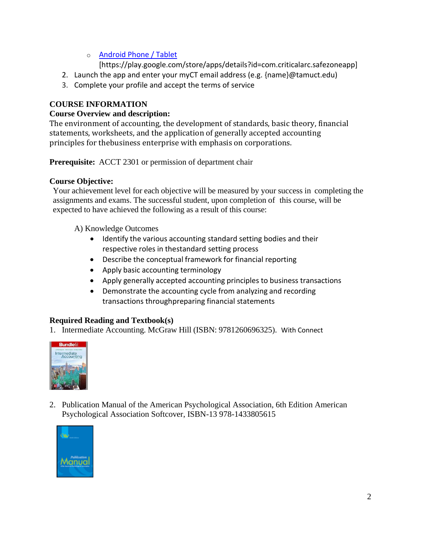# o [Android Phone / Tablet](https://play.google.com/store/apps/details?id=com.criticalarc.safezoneapp)

[https://play.google.com/store/apps/details?id=com.criticalarc.safezoneapp]

- 2. Launch the app and enter your myCT email address (e.g. {name}@tamuct.edu)
- 3. Complete your profile and accept the terms of service

# **COURSE INFORMATION**

### **Course Overview and description:**

The environment of accounting, the development of standards, basic theory, financial statements, worksheets, and the application of generally accepted accounting principles for thebusiness enterprise with emphasis on corporations.

**Prerequisite:** ACCT 2301 or permission of department chair

### **Course Objective:**

Your achievement level for each objective will be measured by your success in completing the assignments and exams. The successful student, upon completion of this course, will be expected to have achieved the following as a result of this course:

A) Knowledge Outcomes

- Identify the various accounting standard setting bodies and their respective roles in thestandard setting process
- Describe the conceptual framework for financial reporting
- Apply basic accounting terminology
- Apply generally accepted accounting principles to business transactions
- Demonstrate the accounting cycle from analyzing and recording transactions throughpreparing financial statements

# **Required Reading and Textbook(s)**

1. Intermediate Accounting*.* McGraw Hill (ISBN: 9781260696325). With Connect



2. Publication Manual of the American Psychological Association, 6th Edition American Psychological Association Softcover, ISBN-13 978-1433805615

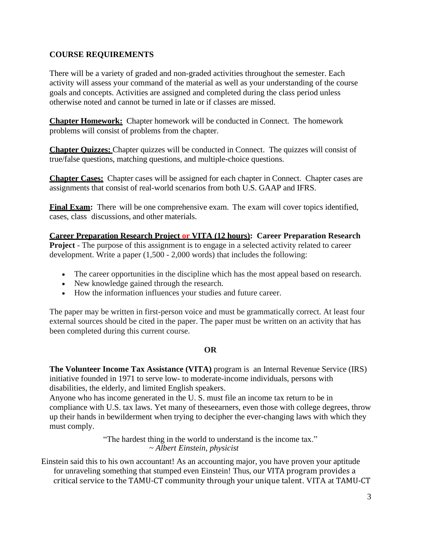# **COURSE REQUIREMENTS**

There will be a variety of graded and non-graded activities throughout the semester. Each activity will assess your command of the material as well as your understanding of the course goals and concepts. Activities are assigned and completed during the class period unless otherwise noted and cannot be turned in late or if classes are missed.

**Chapter Homework:** Chapter homework will be conducted in Connect. The homework problems will consist of problems from the chapter.

**Chapter Quizzes:** Chapter quizzes will be conducted in Connect. The quizzes will consist of true/false questions, matching questions, and multiple-choice questions.

**Chapter Cases:** Chapter cases will be assigned for each chapter in Connect. Chapter cases are assignments that consist of real-world scenarios from both U.S. GAAP and IFRS.

**Final Exam:** There will be one comprehensive exam. The exam will cover topics identified, cases, class discussions, and other materials.

**Career Preparation Research Project or VITA (12 hours): Career Preparation Research Project** - The purpose of this assignment is to engage in a selected activity related to career development. Write a paper (1,500 - 2,000 words) that includes the following:

- The career opportunities in the discipline which has the most appeal based on research.
- New knowledge gained through the research.
- How the information influences your studies and future career.

The paper may be written in first-person voice and must be grammatically correct. At least four external sources should be cited in the paper. The paper must be written on an activity that has been completed during this current course.

#### **OR**

**The Volunteer Income Tax Assistance (VITA)** program is an Internal Revenue Service (IRS) initiative founded in 1971 to serve low- to moderate-income individuals, persons with disabilities, the elderly, and limited English speakers.

Anyone who has income generated in the U. S. must file an income tax return to be in compliance with U.S. tax laws. Yet many of theseearners, even those with college degrees, throw up their hands in bewilderment when trying to decipher the ever-changing laws with which they must comply.

> "The hardest thing in the world to understand is the income tax." *~ Albert Einstein, physicist*

Einstein said this to his own accountant! As an accounting major, you have proven your aptitude for unraveling something that stumped even Einstein! Thus, our VITA program provides a critical service to the TAMU-CT community through your unique talent. VITA at TAMU-CT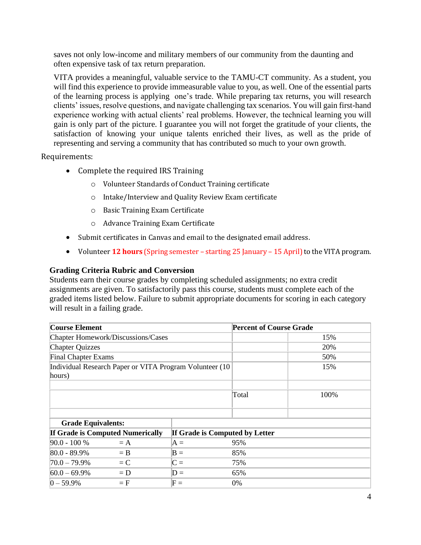saves not only low-income and military members of our community from the daunting and often expensive task of tax return preparation.

VITA provides a meaningful, valuable service to the TAMU-CT community. As a student, you will find this experience to provide immeasurable value to you, as well. One of the essential parts of the learning process is applying one's trade. While preparing tax returns, you will research clients' issues, resolve questions, and navigate challenging tax scenarios. You will gain first-hand experience working with actual clients' real problems. However, the technical learning you will gain is only part of the picture. I guarantee you will not forget the gratitude of your clients, the satisfaction of knowing your unique talents enriched their lives, as well as the pride of representing and serving a community that has contributed so much to your own growth.

Requirements:

- Complete the required IRS Training
	- o Volunteer Standards of Conduct Training certificate
	- o Intake/Interview and Quality Review Exam certificate
	- o Basic Training Exam Certificate
	- o Advance Training Exam Certificate
- Submit certificates in Canvas and email to the designated email address.
- Volunteer **12 hours** (Spring semester starting 25 January 15 April) to the VITA program.

#### **Grading Criteria Rubric and Conversion**

Students earn their course grades by completing scheduled assignments; no extra credit assignments are given. To satisfactorily pass this course, students must complete each of the graded items listed below. Failure to submit appropriate documents for scoring in each category will result in a failing grade.

| <b>Course Element</b>                                    |                                |             |  | <b>Percent of Course Grade</b> |      |  |
|----------------------------------------------------------|--------------------------------|-------------|--|--------------------------------|------|--|
| Chapter Homework/Discussions/Cases                       |                                |             |  |                                | 15%  |  |
| <b>Chapter Quizzes</b>                                   |                                |             |  |                                | 20%  |  |
| <b>Final Chapter Exams</b>                               |                                |             |  |                                | 50%  |  |
| Individual Research Paper or VITA Program Volunteer (10) |                                |             |  |                                | 15%  |  |
| hours)                                                   |                                |             |  |                                |      |  |
|                                                          |                                |             |  |                                |      |  |
|                                                          |                                |             |  | Total                          | 100% |  |
|                                                          |                                |             |  |                                |      |  |
|                                                          |                                |             |  |                                |      |  |
| <b>Grade Equivalents:</b>                                |                                |             |  |                                |      |  |
| <b>If Grade is Computed Numerically</b>                  | If Grade is Computed by Letter |             |  |                                |      |  |
| $90.0 - 100 %$                                           | $= A$                          | $A =$       |  | 95%                            |      |  |
| $80.0 - 89.9\%$                                          | $=$ B                          | $B =$       |  | 85%                            |      |  |
| $70.0 - 79.9\%$                                          | $= C$                          | $C =$       |  | 75%                            |      |  |
| $60.0 - 69.9\%$                                          | $= D$                          | $D =$       |  | 65%                            |      |  |
| $0 - 59.9%$                                              | $=$ $F$                        | ${\rm F}$ = |  | $0\%$                          |      |  |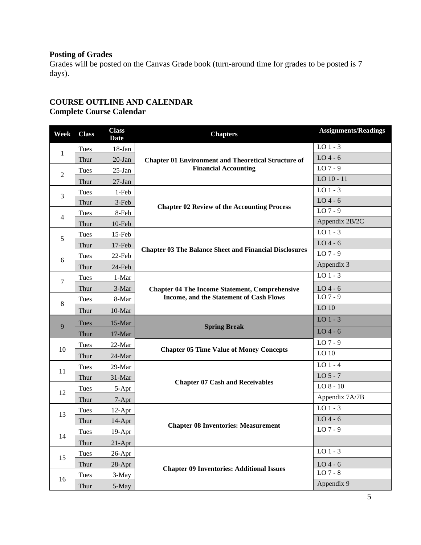# **Posting of Grades**

Grades will be posted on the Canvas Grade book (turn-around time for grades to be posted is 7 days).

### **COURSE OUTLINE AND CALENDAR Complete Course Calendar**

| Week           | <b>Class</b> | <b>Class</b><br><b>Date</b> | <b>Chapters</b>                                               | <b>Assignments/Readings</b> |
|----------------|--------------|-----------------------------|---------------------------------------------------------------|-----------------------------|
| 1              | Tues         | 18-Jan                      |                                                               | $LO$ 1 - 3                  |
|                | Thur         | $20$ -Jan                   | <b>Chapter 01 Environment and Theoretical Structure of</b>    | $LO$ 4 - 6                  |
|                | Tues         | $25$ -Jan                   | <b>Financial Accounting</b>                                   | $LO7 - 9$                   |
| $\overline{2}$ | Thur         | $27-Ian$                    |                                                               | LO 10 - 11                  |
| 3              | Tues         | 1-Feb                       |                                                               | $LO$ 1 - 3                  |
|                | Thur         | 3-Feb                       | <b>Chapter 02 Review of the Accounting Process</b>            | $LO$ 4 - 6                  |
| $\overline{4}$ | Tues         | 8-Feb                       |                                                               | LO 7 - 9                    |
|                | Thur         | 10-Feb                      |                                                               | Appendix 2B/2C              |
| 5              | Tues         | 15-Feb                      | <b>Chapter 03 The Balance Sheet and Financial Disclosures</b> | $LO$ 1 - 3                  |
|                | Thur         | 17-Feb                      |                                                               | $LO$ 4 - 6                  |
| 6              | Tues         | $22$ -Feb                   |                                                               | $LO$ 7 - 9                  |
|                | Thur         | 24-Feb                      |                                                               | Appendix 3                  |
| $\tau$         | Tues         | 1-Mar                       |                                                               | $LO$ 1 - 3                  |
|                | Thur         | 3-Mar                       | <b>Chapter 04 The Income Statement, Comprehensive</b>         | $LO$ 4 - 6                  |
| $\,8\,$        | Tues         | 8-Mar                       | Income, and the Statement of Cash Flows                       | $LO$ 7 - 9                  |
|                | Thur         | 10-Mar                      |                                                               | LO 10                       |
|                | Tues         | 15-Mar                      |                                                               | $LO$ 1 - 3                  |
| 9              | Thur         | 17-Mar                      | <b>Spring Break</b>                                           | $LO$ 4 - 6                  |
|                | Tues         | 22-Mar                      |                                                               | LO 7 - 9                    |
| 10             | Thur         | 24-Mar                      | <b>Chapter 05 Time Value of Money Concepts</b>                | LO 10                       |
|                | Tues         | 29-Mar                      |                                                               | $LO$ 1 - 4                  |
| 11             | Thur         | 31-Mar                      |                                                               | $LO5 - 7$                   |
|                | Tues         | 5-Apr                       | <b>Chapter 07 Cash and Receivables</b>                        | $LO$ $8 - 10$               |
| 12             | Thur         | $7-Apr$                     |                                                               | Appendix 7A/7B              |
| 13             | Tues         | $12-Apr$                    |                                                               | $LO$ 1 - 3                  |
|                | Thur         | $14$ -Apr                   | <b>Chapter 08 Inventories: Measurement</b>                    | $LO$ 4 - 6                  |
|                | <b>Tues</b>  | 19-Apr                      |                                                               | $LO$ 7 - 9                  |
| 14             | Thur         | $21-Apr$                    |                                                               |                             |
| 15<br>16       | Tues         | $26$ -Apr                   |                                                               | $LO$ 1 - 3                  |
|                | Thur         | 28-Apr                      |                                                               | $LO$ 4 - 6                  |
|                | Tues         | 3-May                       | <b>Chapter 09 Inventories: Additional Issues</b>              | LO 7 - 8                    |
|                | Thur         | 5-May                       |                                                               | Appendix 9                  |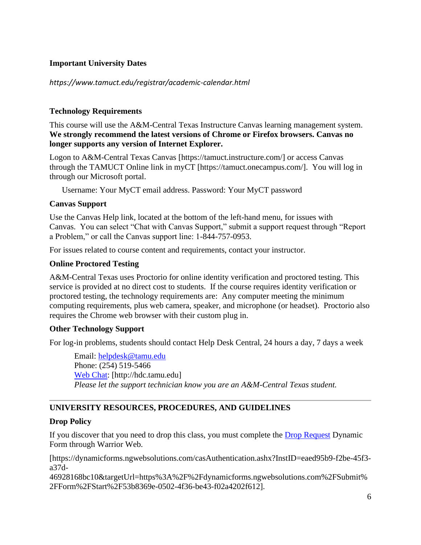### **Important University Dates**

*https://www.tamuct.edu/registrar/academic-calendar.html*

# **Technology Requirements**

This course will use the A&M-Central Texas Instructure Canvas learning management system. **We strongly recommend the latest versions of Chrome or Firefox browsers. Canvas no longer supports any version of Internet Explorer.**

Logon to A&M-Central Texas Canvas [https://tamuct.instructure.com/] or access Canvas through the TAMUCT Online link in myCT [https://tamuct.onecampus.com/]. You will log in through our Microsoft portal.

Username: Your MyCT email address. Password: Your MyCT password

### **Canvas Support**

Use the Canvas Help link, located at the bottom of the left-hand menu, for issues with Canvas. You can select "Chat with Canvas Support," submit a support request through "Report a Problem," or call the Canvas support line: 1-844-757-0953.

For issues related to course content and requirements, contact your instructor.

# **Online Proctored Testing**

A&M-Central Texas uses Proctorio for online identity verification and proctored testing. This service is provided at no direct cost to students. If the course requires identity verification or proctored testing, the technology requirements are: Any computer meeting the minimum computing requirements, plus web camera, speaker, and microphone (or headset). Proctorio also requires the Chrome web browser with their custom plug in.

### **Other Technology Support**

For log-in problems, students should contact Help Desk Central, 24 hours a day, 7 days a week

Email: [helpdesk@tamu.edu](mailto:helpdesk@tamu.edu) Phone: (254) 519-5466 [Web Chat:](http://hdc.tamu.edu/) [http://hdc.tamu.edu] *Please let the support technician know you are an A&M-Central Texas student.*

# **UNIVERSITY RESOURCES, PROCEDURES, AND GUIDELINES**

### **Drop Policy**

If you discover that you need to drop this class, you must complete the [Drop Request](https://dynamicforms.ngwebsolutions.com/casAuthentication.ashx?InstID=eaed95b9-f2be-45f3-a37d-46928168bc10&targetUrl=https%3A%2F%2Fdynamicforms.ngwebsolutions.com%2FSubmit%2FForm%2FStart%2F53b8369e-0502-4f36-be43-f02a4202f612) Dynamic Form through Warrior Web.

[https://dynamicforms.ngwebsolutions.com/casAuthentication.ashx?InstID=eaed95b9-f2be-45f3 a37d-

46928168bc10&targetUrl=https%3A%2F%2Fdynamicforms.ngwebsolutions.com%2FSubmit% 2FForm%2FStart%2F53b8369e-0502-4f36-be43-f02a4202f612].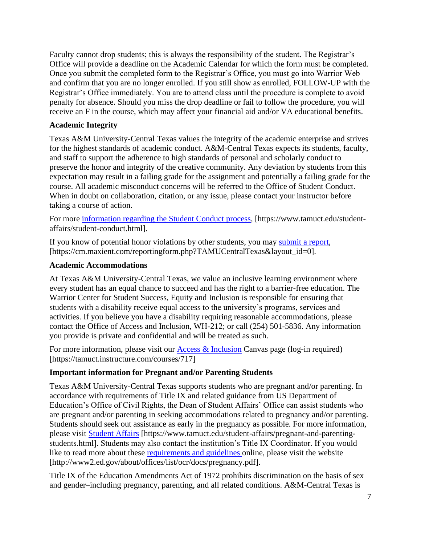Faculty cannot drop students; this is always the responsibility of the student. The Registrar's Office will provide a deadline on the Academic Calendar for which the form must be completed. Once you submit the completed form to the Registrar's Office, you must go into Warrior Web and confirm that you are no longer enrolled. If you still show as enrolled, FOLLOW-UP with the Registrar's Office immediately. You are to attend class until the procedure is complete to avoid penalty for absence. Should you miss the drop deadline or fail to follow the procedure, you will receive an F in the course, which may affect your financial aid and/or VA educational benefits.

# **Academic Integrity**

Texas A&M University-Central Texas values the integrity of the academic enterprise and strives for the highest standards of academic conduct. A&M-Central Texas expects its students, faculty, and staff to support the adherence to high standards of personal and scholarly conduct to preserve the honor and integrity of the creative community. Any deviation by students from this expectation may result in a failing grade for the assignment and potentially a failing grade for the course. All academic misconduct concerns will be referred to the Office of Student Conduct. When in doubt on collaboration, citation, or any issue, please contact your instructor before taking a course of action.

For more [information](https://nam04.safelinks.protection.outlook.com/?url=https%3A%2F%2Fwww.tamuct.edu%2Fstudent-affairs%2Fstudent-conduct.html&data=04%7C01%7Clisa.bunkowski%40tamuct.edu%7Ccfb6e486f24745f53e1a08d910055cb2%7C9eed4e3000f744849ff193ad8005acec%7C0%7C0%7C637558437485252160%7CUnknown%7CTWFpbGZsb3d8eyJWIjoiMC4wLjAwMDAiLCJQIjoiV2luMzIiLCJBTiI6Ik1haWwiLCJXVCI6Mn0%3D%7C1000&sdata=yjftDEVHvLX%2FhM%2FcFU0B99krV1RgEWR%2BJ%2BhvtoR6TYk%3D&reserved=0) regarding the Student Conduct process, [https://www.tamuct.edu/studentaffairs/student-conduct.html].

If you know of potential honor violations by other students, you may [submit](https://nam04.safelinks.protection.outlook.com/?url=https%3A%2F%2Fcm.maxient.com%2Freportingform.php%3FTAMUCentralTexas%26layout_id%3D0&data=04%7C01%7Clisa.bunkowski%40tamuct.edu%7Ccfb6e486f24745f53e1a08d910055cb2%7C9eed4e3000f744849ff193ad8005acec%7C0%7C0%7C637558437485262157%7CUnknown%7CTWFpbGZsb3d8eyJWIjoiMC4wLjAwMDAiLCJQIjoiV2luMzIiLCJBTiI6Ik1haWwiLCJXVCI6Mn0%3D%7C1000&sdata=CXGkOa6uPDPX1IMZ87z3aZDq2n91xfHKu4MMS43Ejjk%3D&reserved=0) a report, [https://cm.maxient.com/reportingform.php?TAMUCentralTexas&layout\_id=0].

# **Academic Accommodations**

At Texas A&M University-Central Texas, we value an inclusive learning environment where every student has an equal chance to succeed and has the right to a barrier-free education. The Warrior Center for Student Success, Equity and Inclusion is responsible for ensuring that students with a disability receive equal access to the university's programs, services and activities. If you believe you have a disability requiring reasonable accommodations, please contact the Office of Access and Inclusion, WH-212; or call (254) 501-5836. Any information you provide is private and confidential and will be treated as such.

For more information, please visit our [Access & Inclusion](https://tamuct.instructure.com/courses/717) Canvas page (log-in required) [https://tamuct.instructure.com/courses/717]

### **Important information for Pregnant and/or Parenting Students**

Texas A&M University-Central Texas supports students who are pregnant and/or parenting. In accordance with requirements of Title IX and related guidance from US Department of Education's Office of Civil Rights, the Dean of Student Affairs' Office can assist students who are pregnant and/or parenting in seeking accommodations related to pregnancy and/or parenting. Students should seek out assistance as early in the pregnancy as possible. For more information, please visit [Student Affairs](https://www.tamuct.edu/student-affairs/pregnant-and-parenting-students.html) [https://www.tamuct.edu/student-affairs/pregnant-and-parentingstudents.html]. Students may also contact the institution's Title IX Coordinator. If you would like to read more about these [requirements and guidelines](http://www2.ed.gov/about/offices/list/ocr/docs/pregnancy.pdf) online, please visit the website [http://www2.ed.gov/about/offices/list/ocr/docs/pregnancy.pdf].

Title IX of the Education Amendments Act of 1972 prohibits discrimination on the basis of sex and gender–including pregnancy, parenting, and all related conditions. A&M-Central Texas is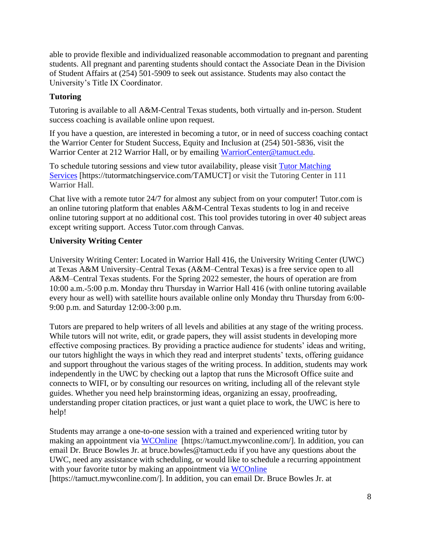able to provide flexible and individualized reasonable accommodation to pregnant and parenting students. All pregnant and parenting students should contact the Associate Dean in the Division of Student Affairs at (254) 501-5909 to seek out assistance. Students may also contact the University's Title IX Coordinator.

# **Tutoring**

Tutoring is available to all A&M-Central Texas students, both virtually and in-person. Student success coaching is available online upon request.

If you have a question, are interested in becoming a tutor, or in need of success coaching contact the Warrior Center for Student Success, Equity and Inclusion at (254) 501-5836, visit the Warrior Center at 212 Warrior Hall, or by emailing [WarriorCenter@tamuct.edu.](mailto:WarriorCenter@tamuct.edu)

To schedule tutoring sessions and view tutor availability, please visit Tutor [Matching](https://tutormatchingservice.com/TAMUCT) [Services](https://tutormatchingservice.com/TAMUCT) [https://tutormatchingservice.com/TAMUCT] or visit the Tutoring Center in 111 Warrior Hall.

Chat live with a remote tutor 24/7 for almost any subject from on your computer! Tutor.com is an online tutoring platform that enables A&M-Central Texas students to log in and receive online tutoring support at no additional cost. This tool provides tutoring in over 40 subject areas except writing support. Access Tutor.com through Canvas.

# **University Writing Center**

University Writing Center: Located in Warrior Hall 416, the University Writing Center (UWC) at Texas A&M University–Central Texas (A&M–Central Texas) is a free service open to all A&M–Central Texas students. For the Spring 2022 semester, the hours of operation are from 10:00 a.m.-5:00 p.m. Monday thru Thursday in Warrior Hall 416 (with online tutoring available every hour as well) with satellite hours available online only Monday thru Thursday from 6:00- 9:00 p.m. and Saturday 12:00-3:00 p.m.

Tutors are prepared to help writers of all levels and abilities at any stage of the writing process. While tutors will not write, edit, or grade papers, they will assist students in developing more effective composing practices. By providing a practice audience for students' ideas and writing, our tutors highlight the ways in which they read and interpret students' texts, offering guidance and support throughout the various stages of the writing process. In addition, students may work independently in the UWC by checking out a laptop that runs the Microsoft Office suite and connects to WIFI, or by consulting our resources on writing, including all of the relevant style guides. Whether you need help brainstorming ideas, organizing an essay, proofreading, understanding proper citation practices, or just want a quiet place to work, the UWC is here to help!

Students may arrange a one-to-one session with a trained and experienced writing tutor by making an appointment via [WCOnline](https://tamuct.mywconline.com/) [https://tamuct.mywconline.com/]. In addition, you can email Dr. Bruce Bowles Jr. at bruce.bowles@tamuct.edu if you have any questions about the UWC, need any assistance with scheduling, or would like to schedule a recurring appointment with your favorite tutor by making an appointment via [WCOnline](https://tamuct.mywconline.com/) [https://tamuct.mywconline.com/]. In addition, you can email Dr. Bruce Bowles Jr. at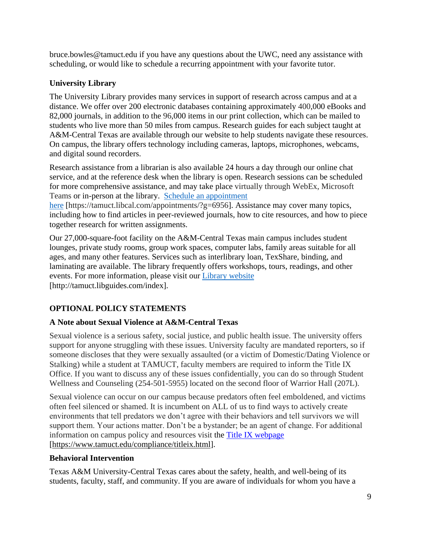bruce.bowles@tamuct.edu if you have any questions about the UWC, need any assistance with scheduling, or would like to schedule a recurring appointment with your favorite tutor.

# **University Library**

The University Library provides many services in support of research across campus and at a distance. We offer over 200 electronic databases containing approximately 400,000 eBooks and 82,000 journals, in addition to the 96,000 items in our print collection, which can be mailed to students who live more than 50 miles from campus. Research guides for each subject taught at A&M-Central Texas are available through our website to help students navigate these resources. On campus, the library offers technology including cameras, laptops, microphones, webcams, and digital sound recorders.

Research assistance from a librarian is also available 24 hours a day through our online chat service, and at the reference desk when the library is open. Research sessions can be scheduled for more comprehensive assistance, and may take place virtually through WebEx, Microsoft Teams or in-person at the library. Schedule an [appointment](https://nam04.safelinks.protection.outlook.com/?url=https%3A%2F%2Ftamuct.libcal.com%2Fappointments%2F%3Fg%3D6956&data=04%7C01%7Clisa.bunkowski%40tamuct.edu%7Cde2c07d9f5804f09518008d9ab7ba6ff%7C9eed4e3000f744849ff193ad8005acec%7C0%7C0%7C637729369835011558%7CUnknown%7CTWFpbGZsb3d8eyJWIjoiMC4wLjAwMDAiLCJQIjoiV2luMzIiLCJBTiI6Ik1haWwiLCJXVCI6Mn0%3D%7C3000&sdata=KhtjgRSAw9aq%2FoBsB6wyu8b7PSuGN5EGPypzr3Ty2No%3D&reserved=0) [here](https://nam04.safelinks.protection.outlook.com/?url=https%3A%2F%2Ftamuct.libcal.com%2Fappointments%2F%3Fg%3D6956&data=04%7C01%7Clisa.bunkowski%40tamuct.edu%7Cde2c07d9f5804f09518008d9ab7ba6ff%7C9eed4e3000f744849ff193ad8005acec%7C0%7C0%7C637729369835011558%7CUnknown%7CTWFpbGZsb3d8eyJWIjoiMC4wLjAwMDAiLCJQIjoiV2luMzIiLCJBTiI6Ik1haWwiLCJXVCI6Mn0%3D%7C3000&sdata=KhtjgRSAw9aq%2FoBsB6wyu8b7PSuGN5EGPypzr3Ty2No%3D&reserved=0) [https://tamuct.libcal.com/appointments/?g=6956]. Assistance may cover many topics,

including how to find articles in peer-reviewed journals, how to cite resources, and how to piece together research for written assignments.

Our 27,000-square-foot facility on the A&M-Central Texas main campus includes student lounges, private study rooms, group work spaces, computer labs, family areas suitable for all ages, and many other features. Services such as interlibrary loan, TexShare, binding, and laminating are available. The library frequently offers workshops, tours, readings, and other events. For more information, please visit our Library [website](https://nam04.safelinks.protection.outlook.com/?url=https%3A%2F%2Ftamuct.libguides.com%2Findex&data=04%7C01%7Clisa.bunkowski%40tamuct.edu%7C7d8489e8839a4915335f08d916f067f2%7C9eed4e3000f744849ff193ad8005acec%7C0%7C0%7C637566044056484222%7CUnknown%7CTWFpbGZsb3d8eyJWIjoiMC4wLjAwMDAiLCJQIjoiV2luMzIiLCJBTiI6Ik1haWwiLCJXVCI6Mn0%3D%7C1000&sdata=2R755V6rcIyedGrd4Os5rkgn1PvhHKU3kUV1vBKiHFo%3D&reserved=0) [http://tamuct.libguides.com/index].

# **OPTIONAL POLICY STATEMENTS**

# **A Note about Sexual Violence at A&M-Central Texas**

Sexual violence is a serious safety, social justice, and public health issue. The university offers support for anyone struggling with these issues. University faculty are mandated reporters, so if someone discloses that they were sexually assaulted (or a victim of Domestic/Dating Violence or Stalking) while a student at TAMUCT, faculty members are required to inform the Title IX Office. If you want to discuss any of these issues confidentially, you can do so through Student Wellness and Counseling (254-501-5955) located on the second floor of Warrior Hall (207L).

Sexual violence can occur on our campus because predators often feel emboldened, and victims often feel silenced or shamed. It is incumbent on ALL of us to find ways to actively create environments that tell predators we don't agree with their behaviors and tell survivors we will support them. Your actions matter. Don't be a bystander; be an agent of change. For additional information on campus policy and resources visit the [Title IX webpage](https://www.tamuct.edu/compliance/titleix.html) [\[https://www.tamuct.edu/compliance/titleix.html\]](https://www.tamuct.edu/compliance/titleix.html).

### **Behavioral Intervention**

Texas A&M University-Central Texas cares about the safety, health, and well-being of its students, faculty, staff, and community. If you are aware of individuals for whom you have a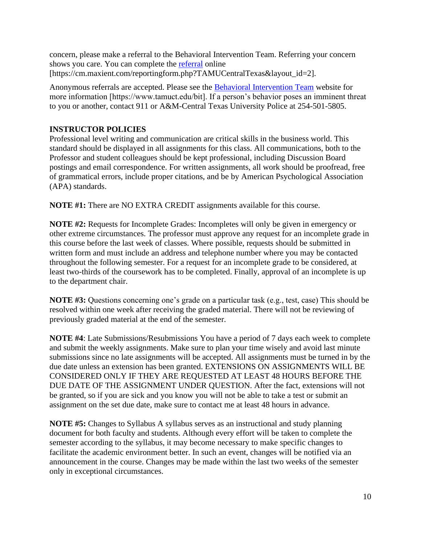concern, please make a referral to the Behavioral Intervention Team. Referring your concern shows you care. You can complete the [referral](https://cm.maxient.com/reportingform.php?TAMUCentralTexas&layout_id=2) online [https://cm.maxient.com/reportingform.php?TAMUCentralTexas&layout\_id=2].

Anonymous referrals are accepted. Please see the [Behavioral Intervention Team](https://www.tamuct.edu/bit) website for more information [https://www.tamuct.edu/bit]. If a person's behavior poses an imminent threat to you or another, contact 911 or A&M-Central Texas University Police at 254-501-5805.

# **INSTRUCTOR POLICIES**

Professional level writing and communication are critical skills in the business world. This standard should be displayed in all assignments for this class. All communications, both to the Professor and student colleagues should be kept professional, including Discussion Board postings and email correspondence. For written assignments, all work should be proofread, free of grammatical errors, include proper citations, and be by American Psychological Association (APA) standards.

**NOTE #1:** There are NO EXTRA CREDIT assignments available for this course.

**NOTE #2:** Requests for Incomplete Grades: Incompletes will only be given in emergency or other extreme circumstances. The professor must approve any request for an incomplete grade in this course before the last week of classes. Where possible, requests should be submitted in written form and must include an address and telephone number where you may be contacted throughout the following semester. For a request for an incomplete grade to be considered, at least two-thirds of the coursework has to be completed. Finally, approval of an incomplete is up to the department chair.

**NOTE #3:** Questions concerning one's grade on a particular task (e.g., test, case) This should be resolved within one week after receiving the graded material. There will not be reviewing of previously graded material at the end of the semester.

**NOTE #4**: Late Submissions/Resubmissions You have a period of 7 days each week to complete and submit the weekly assignments. Make sure to plan your time wisely and avoid last minute submissions since no late assignments will be accepted. All assignments must be turned in by the due date unless an extension has been granted. EXTENSIONS ON ASSIGNMENTS WILL BE CONSIDERED ONLY IF THEY ARE REQUESTED AT LEAST 48 HOURS BEFORE THE DUE DATE OF THE ASSIGNMENT UNDER QUESTION. After the fact, extensions will not be granted, so if you are sick and you know you will not be able to take a test or submit an assignment on the set due date, make sure to contact me at least 48 hours in advance.

**NOTE #5:** Changes to Syllabus A syllabus serves as an instructional and study planning document for both faculty and students. Although every effort will be taken to complete the semester according to the syllabus, it may become necessary to make specific changes to facilitate the academic environment better. In such an event, changes will be notified via an announcement in the course. Changes may be made within the last two weeks of the semester only in exceptional circumstances.